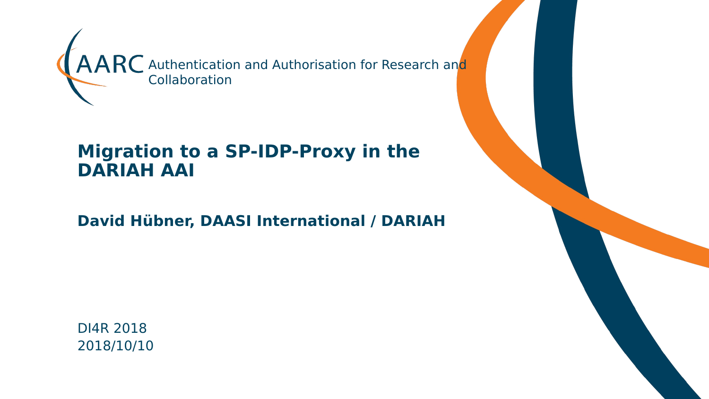

#### **Migration to a SP-IDP-Proxy in the DARIAH AAI**

**David Hübner, DAASI International / DARIAH**

DI4R 2018 2018/10/10

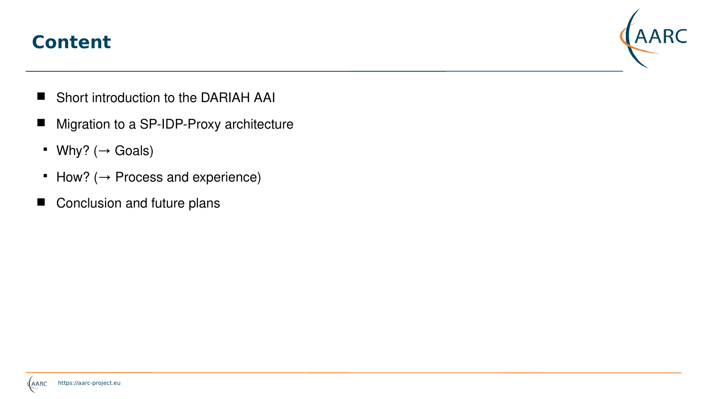#### **Content**



- Short introduction to the DARIAH AAI
- Migration to a SP-IDP-Proxy architecture
- Why?  $(\rightarrow$  Goals)
- $\blacksquare$  How? ( $\rightarrow$  Process and experience)
- Conclusion and future plans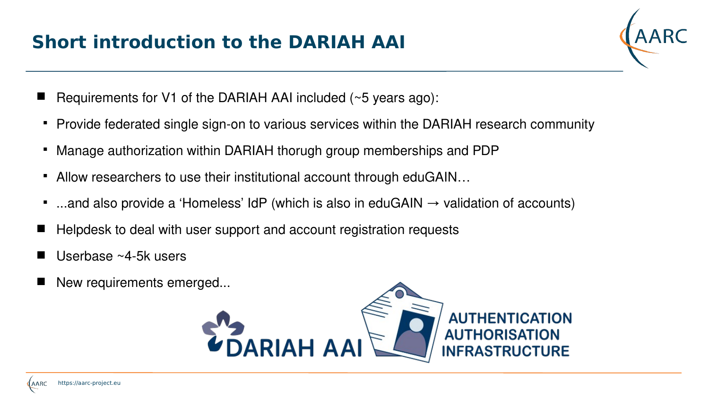# **Short introduction to the DARIAH AAI**



- Requirements for V1 of the DARIAH AAI included (~5 years ago):
- Provide federated single sign-on to various services within the DARIAH research community
- Manage authorization within DARIAH thorugh group memberships and PDP
- Allow researchers to use their institutional account through eduGAIN…
- $\blacksquare$ ...and also provide a 'Homeless' IdP (which is also in eduGAIN  $\rightarrow$  validation of accounts)
- Helpdesk to deal with user support and account registration requests
- Userbase ~4-5k users
- New requirements emerged...

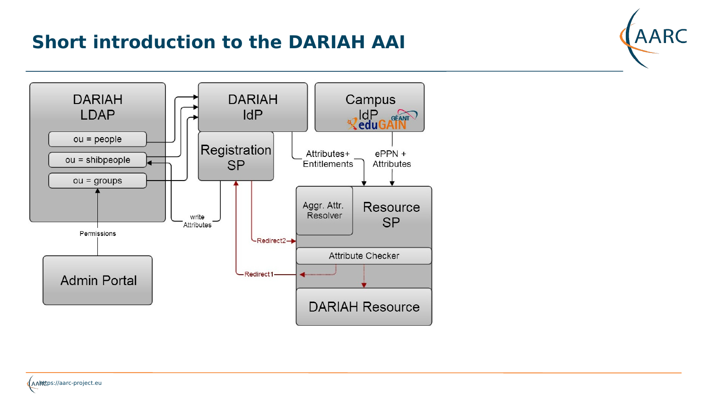## **Short introduction to the DARIAH AAI**





https://aarc-project.eu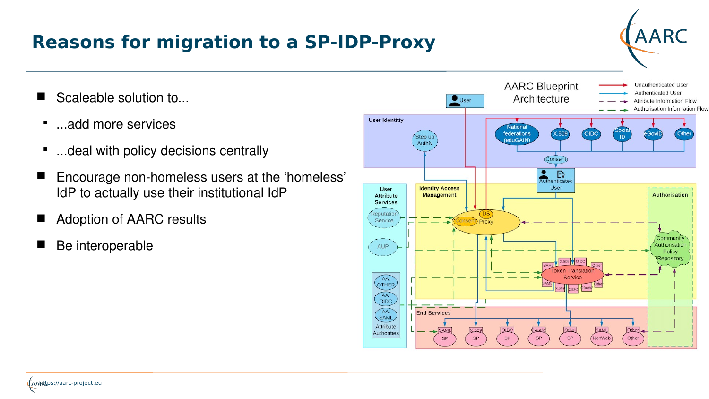#### **Reasons for migration to a SP-IDP-Proxy**

- Scaleable solution to...
- $\blacksquare$ ...add more services
- $\blacksquare$ ...deal with policy decisions centrally
- Encourage non-homeless users at the 'homeless' IdP to actually use their institutional IdP
- Adoption of AARC results
- Be interoperable



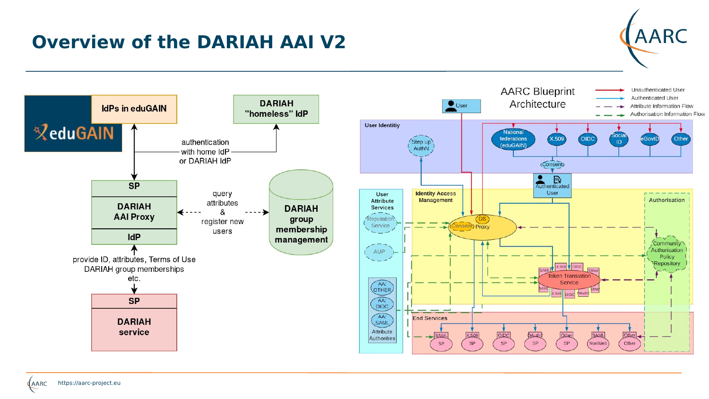# **Overview of the DARIAH AAI V2**





**AARC**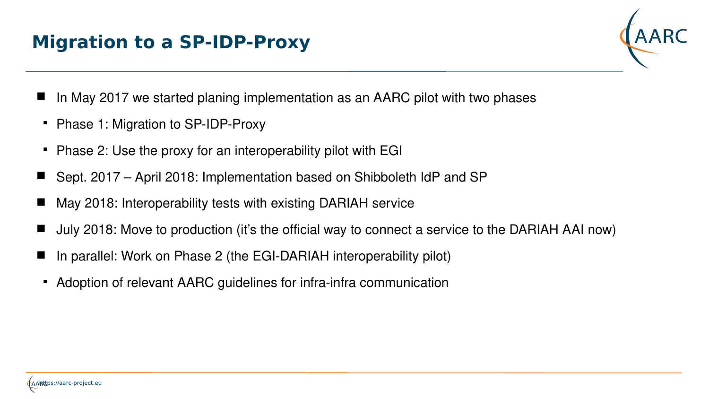# **Migration to a SP-IDP-Proxy**



- In May 2017 we started planing implementation as an AARC pilot with two phases
- Phase 1: Migration to SP-IDP-Proxy
- Phase 2: Use the proxy for an interoperability pilot with EGI
- Sept. 2017 April 2018: Implementation based on Shibboleth IdP and SP
- May 2018: Interoperability tests with existing DARIAH service
- July 2018: Move to production (it's the official way to connect a service to the DARIAH AAI now)
- In parallel: Work on Phase 2 (the EGI-DARIAH interoperability pilot)
- Adoption of relevant AARC guidelines for infra-infra communication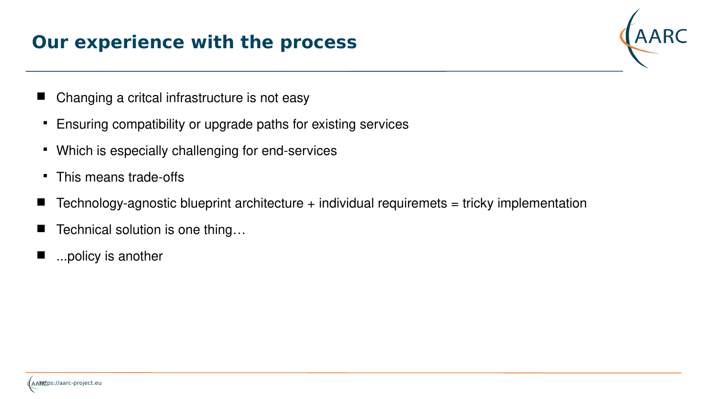## **Our experience with the process**



- Changing a critcal infrastructure is not easy
- Ensuring compatibility or upgrade paths for existing services
- Which is especially challenging for end-services
- This means trade-offs
- Technology-agnostic blueprint architecture  $+$  individual requiremets  $=$  tricky implementation
- Technical solution is one thing…
- ...policy is another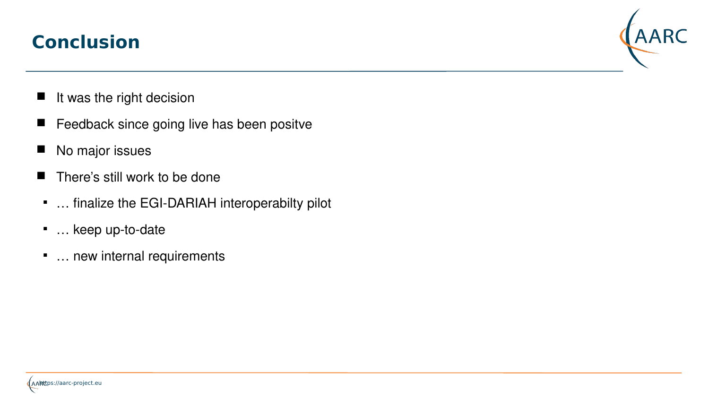## **Conclusion**



- It was the right decision
- Feedback since going live has been positve
- No major issues
- There's still work to be done
- … finalize the EGI-DARIAH interoperabilty pilot
- … keep up-to-date
- … new internal requirements